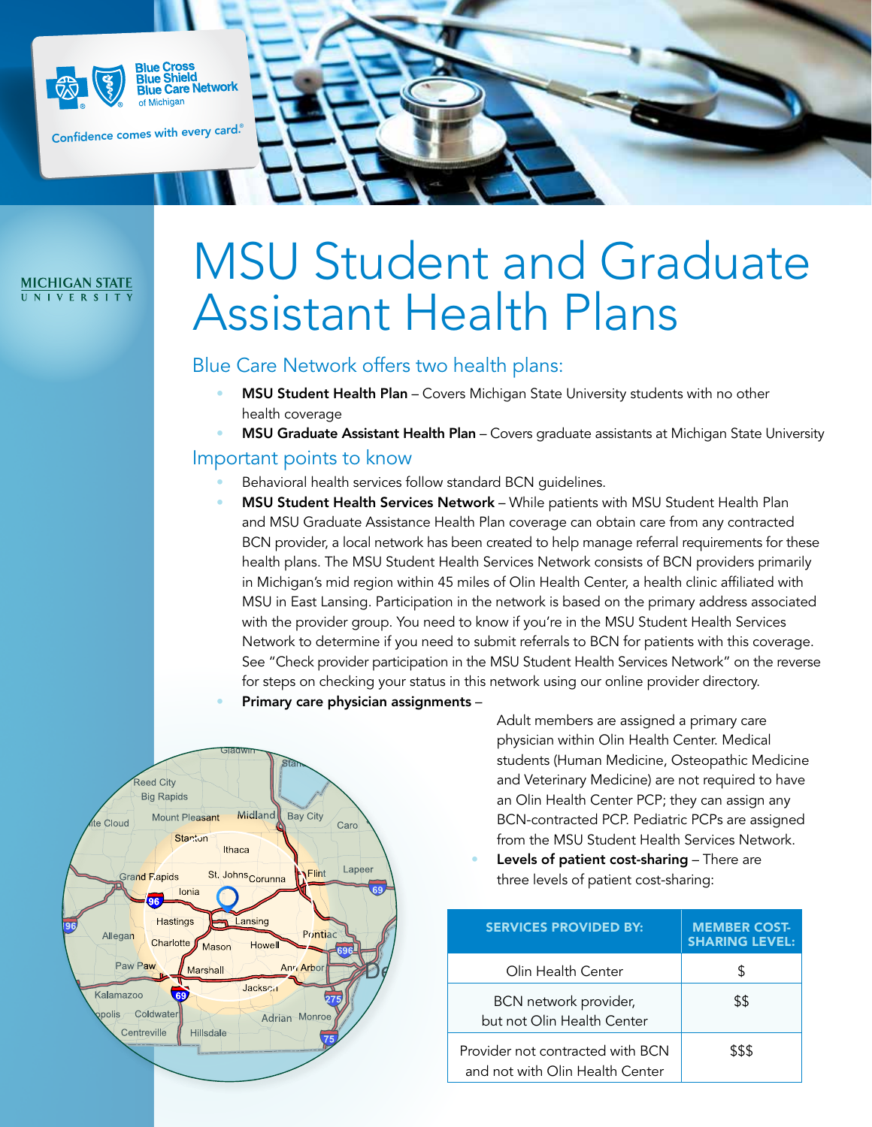

**Blue Cross Blue Shield Blue Strietge**<br>Blue Care Network of Michigan

Confidence comes with every card. ®

#### **MICHIGAN STATE** UNIVERSITY

# MSU Student and Graduate Assistant Health Plans

Blue Care Network offers two health plans:

- MSU Student Health Plan Covers Michigan State University students with no other health coverage
- MSU Graduate Assistant Health Plan Covers graduate assistants at Michigan State University

#### Important points to know

- Behavioral health services follow standard BCN guidelines.
- MSU Student Health Services Network While patients with MSU Student Health Plan and MSU Graduate Assistance Health Plan coverage can obtain care from any contracted BCN provider, a local network has been created to help manage referral requirements for these health plans. The MSU Student Health Services Network consists of BCN providers primarily in Michigan's mid region within 45 miles of Olin Health Center, a health clinic affiliated with MSU in East Lansing. Participation in the network is based on the primary address associated with the provider group. You need to know if you're in the MSU Student Health Services Network to determine if you need to submit referrals to BCN for patients with this coverage. See "Check provider participation in the MSU Student Health Services Network" on the reverse for steps on checking your status in this network using our online provider directory.





Adult members are assigned a primary care physician within Olin Health Center. Medical students (Human Medicine, Osteopathic Medicine and Veterinary Medicine) are not required to have an Olin Health Center PCP; they can assign any BCN-contracted PCP. Pediatric PCPs are assigned from the MSU Student Health Services Network.

Levels of patient cost-sharing - There are three levels of patient cost-sharing:

| <b>SERVICES PROVIDED BY:</b>                                        | <b>MEMBER COST-</b><br><b>SHARING LEVEL:</b> |
|---------------------------------------------------------------------|----------------------------------------------|
| Olin Health Center                                                  | S                                            |
| BCN network provider,<br>but not Olin Health Center                 | \$\$                                         |
| Provider not contracted with BCN<br>and not with Olin Health Center | \$\$\$                                       |